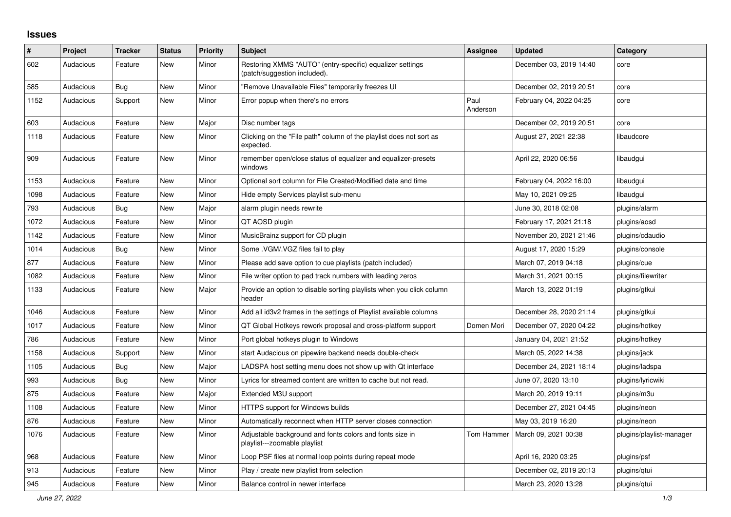## **Issues**

| $\#$ | Project   | <b>Tracker</b> | <b>Status</b> | <b>Priority</b> | <b>Subject</b>                                                                            | <b>Assignee</b>  | <b>Updated</b>          | Category                 |
|------|-----------|----------------|---------------|-----------------|-------------------------------------------------------------------------------------------|------------------|-------------------------|--------------------------|
| 602  | Audacious | Feature        | <b>New</b>    | Minor           | Restoring XMMS "AUTO" (entry-specific) equalizer settings<br>(patch/suggestion included). |                  | December 03, 2019 14:40 | core                     |
| 585  | Audacious | Bug            | <b>New</b>    | Minor           | "Remove Unavailable Files" temporarily freezes UI                                         |                  | December 02, 2019 20:51 | core                     |
| 1152 | Audacious | Support        | New           | Minor           | Error popup when there's no errors                                                        | Paul<br>Anderson | February 04, 2022 04:25 | core                     |
| 603  | Audacious | Feature        | <b>New</b>    | Major           | Disc number tags                                                                          |                  | December 02, 2019 20:51 | core                     |
| 1118 | Audacious | Feature        | <b>New</b>    | Minor           | Clicking on the "File path" column of the playlist does not sort as<br>expected.          |                  | August 27, 2021 22:38   | libaudcore               |
| 909  | Audacious | Feature        | <b>New</b>    | Minor           | remember open/close status of equalizer and equalizer-presets<br>windows                  |                  | April 22, 2020 06:56    | libaudgui                |
| 1153 | Audacious | Feature        | <b>New</b>    | Minor           | Optional sort column for File Created/Modified date and time                              |                  | February 04, 2022 16:00 | libaudgui                |
| 1098 | Audacious | Feature        | <b>New</b>    | Minor           | Hide empty Services playlist sub-menu                                                     |                  | May 10, 2021 09:25      | libaudgui                |
| 793  | Audacious | <b>Bug</b>     | <b>New</b>    | Major           | alarm plugin needs rewrite                                                                |                  | June 30, 2018 02:08     | plugins/alarm            |
| 1072 | Audacious | Feature        | New           | Minor           | QT AOSD plugin                                                                            |                  | February 17, 2021 21:18 | plugins/aosd             |
| 1142 | Audacious | Feature        | <b>New</b>    | Minor           | MusicBrainz support for CD plugin                                                         |                  | November 20, 2021 21:46 | plugins/cdaudio          |
| 1014 | Audacious | Bug            | New           | Minor           | Some .VGM/.VGZ files fail to play                                                         |                  | August 17, 2020 15:29   | plugins/console          |
| 877  | Audacious | Feature        | <b>New</b>    | Minor           | Please add save option to cue playlists (patch included)                                  |                  | March 07, 2019 04:18    | plugins/cue              |
| 1082 | Audacious | Feature        | <b>New</b>    | Minor           | File writer option to pad track numbers with leading zeros                                |                  | March 31, 2021 00:15    | plugins/filewriter       |
| 1133 | Audacious | Feature        | New           | Major           | Provide an option to disable sorting playlists when you click column<br>header            |                  | March 13, 2022 01:19    | plugins/gtkui            |
| 1046 | Audacious | Feature        | <b>New</b>    | Minor           | Add all id3v2 frames in the settings of Playlist available columns                        |                  | December 28, 2020 21:14 | plugins/gtkui            |
| 1017 | Audacious | Feature        | New           | Minor           | QT Global Hotkeys rework proposal and cross-platform support                              | Domen Mori       | December 07, 2020 04:22 | plugins/hotkey           |
| 786  | Audacious | Feature        | <b>New</b>    | Minor           | Port global hotkeys plugin to Windows                                                     |                  | January 04, 2021 21:52  | plugins/hotkey           |
| 1158 | Audacious | Support        | <b>New</b>    | Minor           | start Audacious on pipewire backend needs double-check                                    |                  | March 05, 2022 14:38    | plugins/jack             |
| 1105 | Audacious | Bug            | <b>New</b>    | Major           | LADSPA host setting menu does not show up with Qt interface                               |                  | December 24, 2021 18:14 | plugins/ladspa           |
| 993  | Audacious | <b>Bug</b>     | New           | Minor           | Lyrics for streamed content are written to cache but not read.                            |                  | June 07, 2020 13:10     | plugins/lyricwiki        |
| 875  | Audacious | Feature        | New           | Major           | Extended M3U support                                                                      |                  | March 20, 2019 19:11    | plugins/m3u              |
| 1108 | Audacious | Feature        | New           | Minor           | HTTPS support for Windows builds                                                          |                  | December 27, 2021 04:45 | plugins/neon             |
| 876  | Audacious | Feature        | <b>New</b>    | Minor           | Automatically reconnect when HTTP server closes connection                                |                  | May 03, 2019 16:20      | plugins/neon             |
| 1076 | Audacious | Feature        | <b>New</b>    | Minor           | Adjustable background and fonts colors and fonts size in<br>playlist---zoomable playlist  | Tom Hammer       | March 09, 2021 00:38    | plugins/playlist-manager |
| 968  | Audacious | Feature        | New           | Minor           | Loop PSF files at normal loop points during repeat mode                                   |                  | April 16, 2020 03:25    | plugins/psf              |
| 913  | Audacious | Feature        | <b>New</b>    | Minor           | Play / create new playlist from selection                                                 |                  | December 02, 2019 20:13 | plugins/gtui             |
| 945  | Audacious | Feature        | New           | Minor           | Balance control in newer interface                                                        |                  | March 23, 2020 13:28    | plugins/qtui             |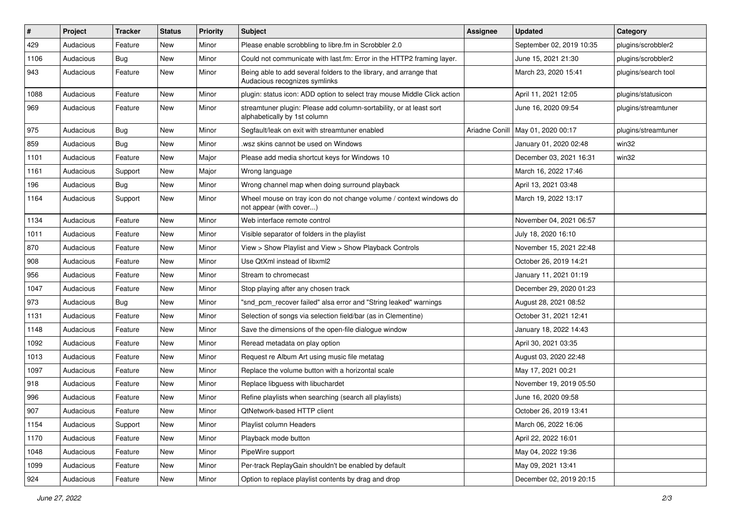| $\#$ | Project   | <b>Tracker</b> | <b>Status</b> | <b>Priority</b> | Subject                                                                                             | <b>Assignee</b> | <b>Updated</b>           | Category            |
|------|-----------|----------------|---------------|-----------------|-----------------------------------------------------------------------------------------------------|-----------------|--------------------------|---------------------|
| 429  | Audacious | Feature        | New           | Minor           | Please enable scrobbling to libre.fm in Scrobbler 2.0                                               |                 | September 02, 2019 10:35 | plugins/scrobbler2  |
| 1106 | Audacious | Bug            | New           | Minor           | Could not communicate with last.fm: Error in the HTTP2 framing layer.                               |                 | June 15, 2021 21:30      | plugins/scrobbler2  |
| 943  | Audacious | Feature        | New           | Minor           | Being able to add several folders to the library, and arrange that<br>Audacious recognizes symlinks |                 | March 23, 2020 15:41     | plugins/search tool |
| 1088 | Audacious | Feature        | <b>New</b>    | Minor           | plugin: status icon: ADD option to select tray mouse Middle Click action                            |                 | April 11, 2021 12:05     | plugins/statusicon  |
| 969  | Audacious | Feature        | New           | Minor           | streamtuner plugin: Please add column-sortability, or at least sort<br>alphabetically by 1st column |                 | June 16, 2020 09:54      | plugins/streamtuner |
| 975  | Audacious | <b>Bug</b>     | New           | Minor           | Segfault/leak on exit with streamtuner enabled                                                      | Ariadne Conill  | May 01, 2020 00:17       | plugins/streamtuner |
| 859  | Audacious | <b>Bug</b>     | New           | Minor           | wsz skins cannot be used on Windows                                                                 |                 | January 01, 2020 02:48   | win32               |
| 1101 | Audacious | Feature        | <b>New</b>    | Major           | Please add media shortcut keys for Windows 10                                                       |                 | December 03, 2021 16:31  | win32               |
| 1161 | Audacious | Support        | New           | Major           | Wrong language                                                                                      |                 | March 16, 2022 17:46     |                     |
| 196  | Audacious | <b>Bug</b>     | New           | Minor           | Wrong channel map when doing surround playback                                                      |                 | April 13, 2021 03:48     |                     |
| 1164 | Audacious | Support        | New           | Minor           | Wheel mouse on tray icon do not change volume / context windows do<br>not appear (with cover)       |                 | March 19, 2022 13:17     |                     |
| 1134 | Audacious | Feature        | <b>New</b>    | Minor           | Web interface remote control                                                                        |                 | November 04, 2021 06:57  |                     |
| 1011 | Audacious | Feature        | New           | Minor           | Visible separator of folders in the playlist                                                        |                 | July 18, 2020 16:10      |                     |
| 870  | Audacious | Feature        | New           | Minor           | View > Show Playlist and View > Show Playback Controls                                              |                 | November 15, 2021 22:48  |                     |
| 908  | Audacious | Feature        | New           | Minor           | Use QtXml instead of libxml2                                                                        |                 | October 26, 2019 14:21   |                     |
| 956  | Audacious | Feature        | New           | Minor           | Stream to chromecast                                                                                |                 | January 11, 2021 01:19   |                     |
| 1047 | Audacious | Feature        | New           | Minor           | Stop playing after any chosen track                                                                 |                 | December 29, 2020 01:23  |                     |
| 973  | Audacious | <b>Bug</b>     | New           | Minor           | "snd_pcm_recover failed" alsa error and "String leaked" warnings                                    |                 | August 28, 2021 08:52    |                     |
| 1131 | Audacious | Feature        | New           | Minor           | Selection of songs via selection field/bar (as in Clementine)                                       |                 | October 31, 2021 12:41   |                     |
| 1148 | Audacious | Feature        | New           | Minor           | Save the dimensions of the open-file dialogue window                                                |                 | January 18, 2022 14:43   |                     |
| 1092 | Audacious | Feature        | New           | Minor           | Reread metadata on play option                                                                      |                 | April 30, 2021 03:35     |                     |
| 1013 | Audacious | Feature        | New           | Minor           | Request re Album Art using music file metatag                                                       |                 | August 03, 2020 22:48    |                     |
| 1097 | Audacious | Feature        | New           | Minor           | Replace the volume button with a horizontal scale                                                   |                 | May 17, 2021 00:21       |                     |
| 918  | Audacious | Feature        | New           | Minor           | Replace libguess with libuchardet                                                                   |                 | November 19, 2019 05:50  |                     |
| 996  | Audacious | Feature        | <b>New</b>    | Minor           | Refine playlists when searching (search all playlists)                                              |                 | June 16, 2020 09:58      |                     |
| 907  | Audacious | Feature        | New           | Minor           | QtNetwork-based HTTP client                                                                         |                 | October 26, 2019 13:41   |                     |
| 1154 | Audacious | Support        | New           | Minor           | Playlist column Headers                                                                             |                 | March 06, 2022 16:06     |                     |
| 1170 | Audacious | Feature        | New           | Minor           | Playback mode button                                                                                |                 | April 22, 2022 16:01     |                     |
| 1048 | Audacious | Feature        | New           | Minor           | PipeWire support                                                                                    |                 | May 04, 2022 19:36       |                     |
| 1099 | Audacious | Feature        | New           | Minor           | Per-track ReplayGain shouldn't be enabled by default                                                |                 | May 09, 2021 13:41       |                     |
| 924  | Audacious | Feature        | New           | Minor           | Option to replace playlist contents by drag and drop                                                |                 | December 02, 2019 20:15  |                     |